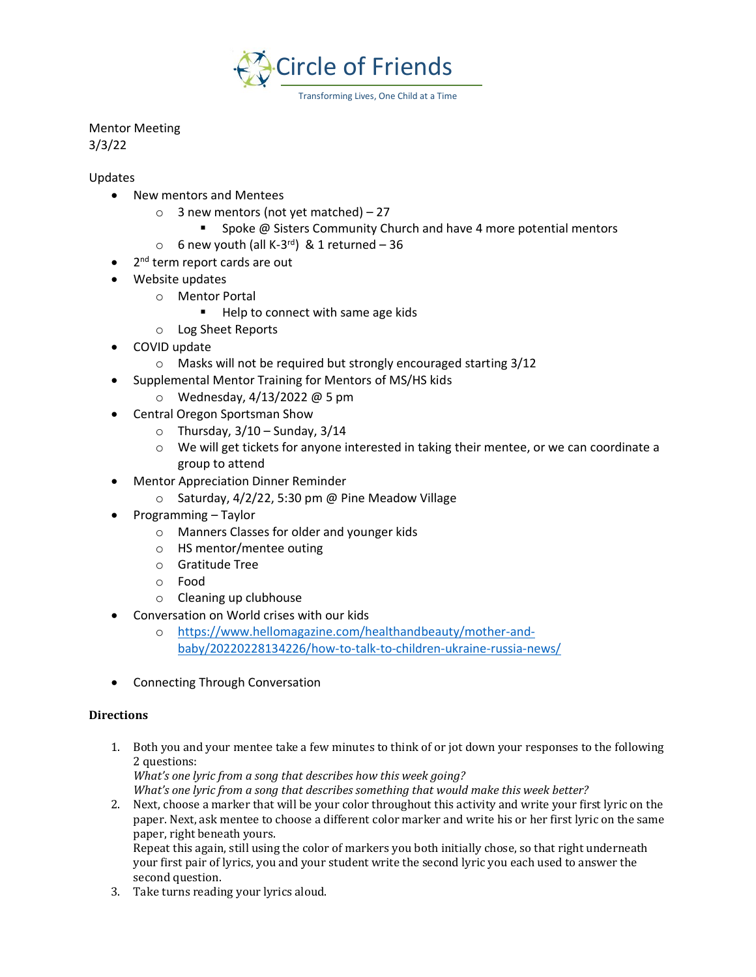

Mentor Meeting 3/3/22

Updates

- New mentors and Mentees
	- $\circ$  3 new mentors (not yet matched) 27
		- Spoke @ Sisters Community Church and have 4 more potential mentors
	- $\circ$  6 new youth (all K-3<sup>rd</sup>) & 1 returned 36
- 2<sup>nd</sup> term report cards are out
- Website updates
	- o Mentor Portal
		- Help to connect with same age kids
	- o Log Sheet Reports
- COVID update
	- o Masks will not be required but strongly encouraged starting 3/12
- Supplemental Mentor Training for Mentors of MS/HS kids
	- o Wednesday, 4/13/2022 @ 5 pm
- Central Oregon Sportsman Show
	- $\circ$  Thursday, 3/10 Sunday, 3/14
	- $\circ$  We will get tickets for anyone interested in taking their mentee, or we can coordinate a group to attend
- Mentor Appreciation Dinner Reminder
	- $\circ$  Saturday, 4/2/22, 5:30 pm @ Pine Meadow Village
- Programming Taylor
	- o Manners Classes for older and younger kids
	- o HS mentor/mentee outing
	- o Gratitude Tree
	- o Food
	- o Cleaning up clubhouse
- Conversation on World crises with our kids
	- o [https://www.hellomagazine.com/healthandbeauty/mother-and](https://www.hellomagazine.com/healthandbeauty/mother-and-baby/20220228134226/how-to-talk-to-children-ukraine-russia-news/)[baby/20220228134226/how-to-talk-to-children-ukraine-russia-news/](https://www.hellomagazine.com/healthandbeauty/mother-and-baby/20220228134226/how-to-talk-to-children-ukraine-russia-news/)
- Connecting Through Conversation

## **Directions**

1. Both you and your mentee take a few minutes to think of or jot down your responses to the following 2 questions:

*What's one lyric from a song that describes how this week going?* 

*What's one lyric from a song that describes something that would make this week better?* 

2. Next, choose a marker that will be your color throughout this activity and write your first lyric on the paper. Next, ask mentee to choose a different color marker and write his or her first lyric on the same paper, right beneath yours. Repeat this again, still using the color of markers you both initially chose, so that right underneath

your first pair of lyrics, you and your student write the second lyric you each used to answer the second question.

3. Take turns reading your lyrics aloud.